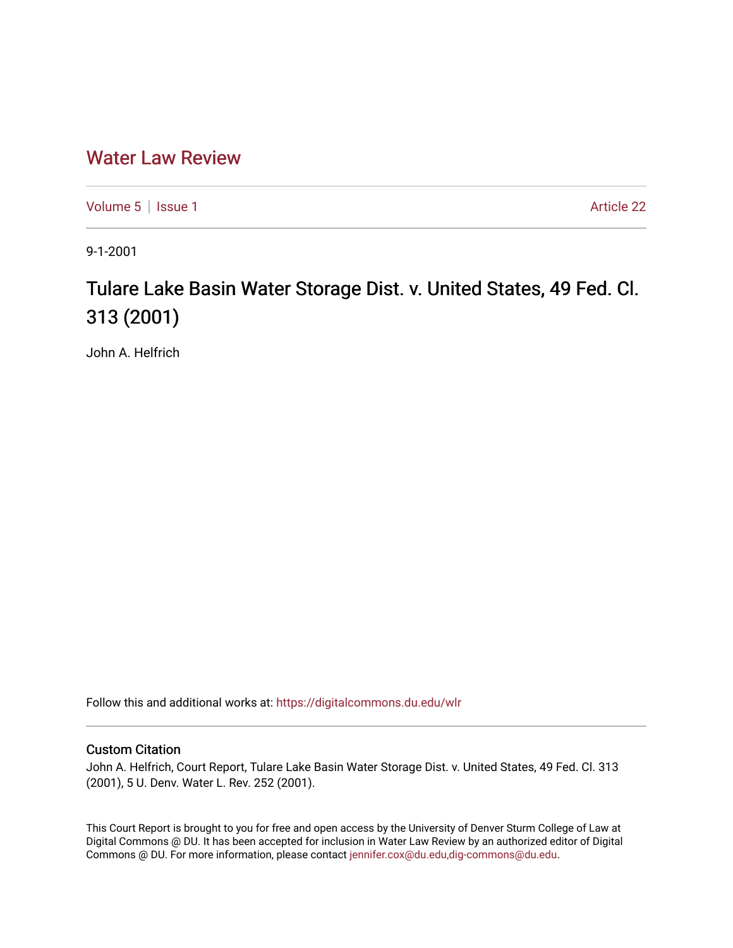## [Water Law Review](https://digitalcommons.du.edu/wlr)

[Volume 5](https://digitalcommons.du.edu/wlr/vol5) | [Issue 1](https://digitalcommons.du.edu/wlr/vol5/iss1) Article 22

9-1-2001

## Tulare Lake Basin Water Storage Dist. v. United States, 49 Fed. Cl. 313 (2001)

John A. Helfrich

Follow this and additional works at: [https://digitalcommons.du.edu/wlr](https://digitalcommons.du.edu/wlr?utm_source=digitalcommons.du.edu%2Fwlr%2Fvol5%2Fiss1%2F22&utm_medium=PDF&utm_campaign=PDFCoverPages) 

## Custom Citation

John A. Helfrich, Court Report, Tulare Lake Basin Water Storage Dist. v. United States, 49 Fed. Cl. 313 (2001), 5 U. Denv. Water L. Rev. 252 (2001).

This Court Report is brought to you for free and open access by the University of Denver Sturm College of Law at Digital Commons @ DU. It has been accepted for inclusion in Water Law Review by an authorized editor of Digital Commons @ DU. For more information, please contact [jennifer.cox@du.edu,dig-commons@du.edu.](mailto:jennifer.cox@du.edu,dig-commons@du.edu)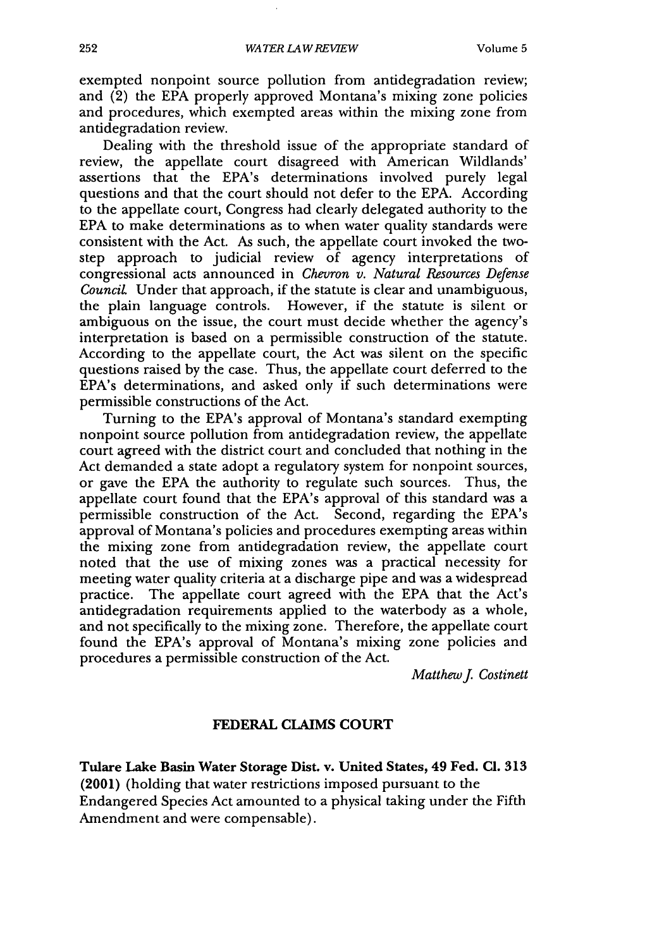exempted nonpoint source pollution from antidegradation review; and (2) the EPA properly approved Montana's mixing zone policies and procedures, which exempted areas within the mixing zone from antidegradation review.

Dealing with the threshold issue of the appropriate standard of review, the appellate court disagreed with American Wildlands' assertions that the EPA's determinations involved purely legal questions and that the court should not defer to the EPA. According to the appellate court, Congress had clearly delegated authority to the EPA to make determinations as to when water quality standards were consistent with the Act. As such, the appellate court invoked the twostep approach to judicial review of agency interpretations of congressional acts announced in *Chevron v. Natural Resources Defense Council* Under that approach, if the statute is clear and unambiguous, the plain language controls. However, if the statute is silent or ambiguous on the issue, the court must decide whether the agency's interpretation is based on a permissible construction of the statute. According to the appellate court, the Act was silent on the specific questions raised by the case. Thus, the appellate court deferred to the EPA's determinations, and asked only if such determinations were permissible constructions of the Act.

Turning to the EPA's approval of Montana's standard exempting nonpoint source pollution from antidegradation review, the appellate court agreed with the district court and concluded that nothing in the Act demanded a state adopt a regulatory system for nonpoint sources, or gave the EPA the authority to regulate such sources. Thus, the appellate court found that the EPA's approval of this standard was a permissible construction of the Act. Second, regarding the EPA's approval of Montana's policies and procedures exempting areas within the mixing zone from antidegradation review, the appellate court noted that the use of mixing zones was a practical necessity for meeting water quality criteria at a discharge pipe and was a widespread practice. The appellate court agreed with the EPA that the Act's antidegradation requirements applied to the waterbody as a whole, and not specifically to the mixing zone. Therefore, the appellate court found the EPA's approval of Montana's mixing zone policies and procedures a permissible construction of the Act.

*MatthewJ Costinett*

## **FEDERAL CLAIMS COURT**

**Tulare** Lake **Basin** Water Storage Dist. **v.** United States, 49 Fed. **Cl. 313 (2001)** (holding that water restrictions imposed pursuant to the Endangered Species Act amounted to a physical taking under the Fifth Amendment and were compensable).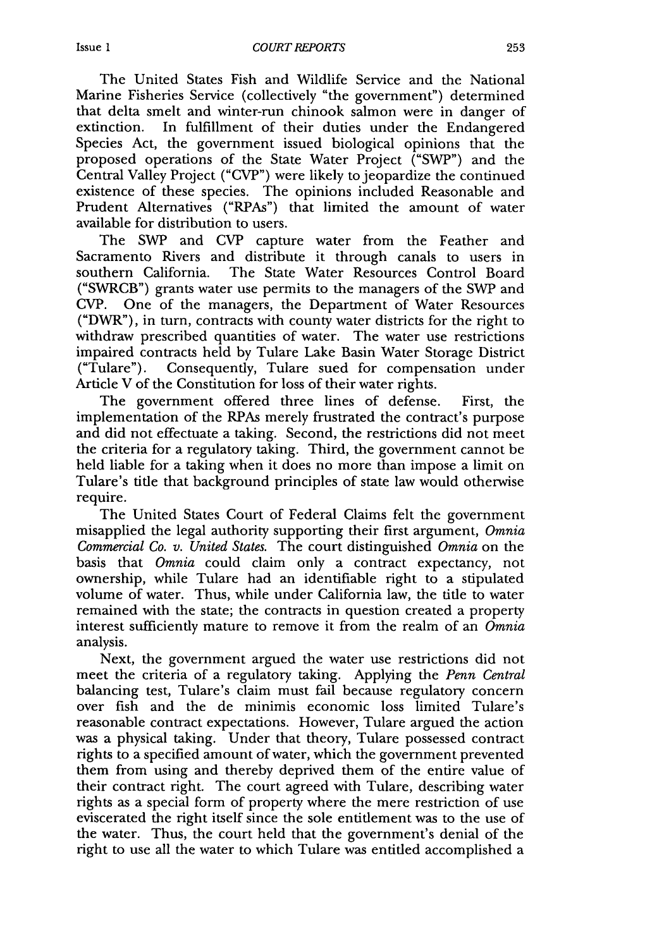The United States Fish and Wildlife Service and the National Marine Fisheries Service (collectively "the government") determined that delta smelt and winter-run chinook salmon were in danger of extinction. In fulfillment of their duties under the Endangered Species Act, the government issued biological opinions that the proposed operations of the State Water Project ("SWP") and the Central Valley Project ("CVP") were likely to jeopardize the continued existence of these species. The opinions included Reasonable and Prudent Alternatives ("RPAs") that limited the amount of water available for distribution to users.

The SWP and CVP capture water from the Feather and Sacramento Rivers and distribute it through canals to users in southern California. The State Water Resources Control Board ("SWRCB") grants water use permits to the managers of the SWP and CVP. One of the managers, the Department of Water Resources ("DWR"), in turn, contracts with county water districts for the right to withdraw prescribed quantities of water. The water use restrictions impaired contracts held by Tulare Lake Basin Water Storage District ("Tulare"). Consequently, Tulare sued for compensation under Article V of the Constitution for loss of their water rights.

The government offered three lines of defense. First, the implementation of the RPAs merely frustrated the contract's purpose and did not effectuate a taking. Second, the restrictions did not meet the criteria for a regulatory taking. Third, the government cannot be held liable for a taking when it does no more than impose a limit on Tulare's title that background principles of state law would otherwise require.

The United States Court of Federal Claims felt the government misapplied the legal authority supporting their first argument, *Omnia Commercial Co. v. United States.* The court distinguished *Omnia* on the basis that *Omnia* could claim only a contract expectancy, not ownership, while Tulare had an identifiable right to a stipulated volume of water. Thus, while under California law, the title to water remained with the state; the contracts in question created a property interest sufficiently mature to remove it from the realm of an *Omnia* analysis.

Next, the government argued the water use restrictions did not meet the criteria of a regulatory taking. Applying the *Penn Central* balancing test, Tulare's claim must fail because regulatory concern over fish and the de minimis economic loss limited Tulare's reasonable contract expectations. However, Tulare argued the action was a physical taking. Under that theory, Tulare possessed contract rights to a specified amount of water, which the government prevented them from using and thereby deprived them of the entire value of their contract right. The court agreed with Tulare, describing water rights as a special form of property where the mere restriction of use eviscerated the right itself since the sole entitlement was to the use of the water. Thus, the court held that the government's denial of the right to use all the water to which Tulare was entitled accomplished a